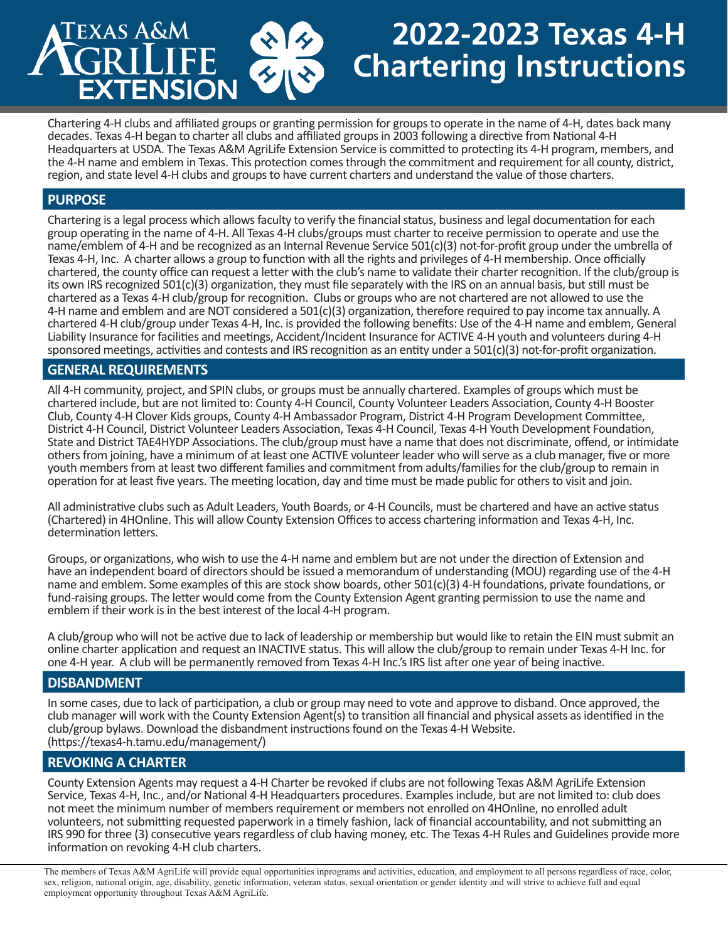# **2022-2023 Texas 4-H Chartering Instructions**

Chartering 4-H clubs and affiliated groups or granting permission for groups to operate in the name of 4-H, dates back many decades. Texas 4-H began to charter all clubs and affiliated groups in 2003 following a directive from National 4-H Headquarters at USDA. The Texas A&M AgriLife Extension Service is committed to protecting its 4-H program, members, and the 4-H name and emblem in Texas. This protection comes through the commitment and requirement for all county, district, region, and state level 4-H clubs and groups to have current charters and understand the value of those charters.

# **PURPOSE**

Chartering is a legal process which allows faculty to verify the financial status, business and legal documentation for each group operating in the name of 4-H. All Texas 4-H clubs/groups must charter to receive permission to operate and use the name/emblem of 4-H and be recognized as an Internal Revenue Service 501(c)(3) not-for-profit group under the umbrella of Texas 4-H, Inc. A charter allows a group to function with all the rights and privileges of 4-H membership. Once officially chartered, the county office can request a letter with the club's name to validate their charter recognition. If the club/group is its own IRS recognized 501(c)(3) organization, they must file separately with the IRS on an annual basis, but still must be chartered as a Texas 4-H club/group for recognition. Clubs or groups who are not chartered are not allowed to use the 4-H name and emblem and are NOT considered a 501(c)(3) organization, therefore required to pay income tax annually. A chartered 4-H club/group under Texas 4-H, Inc. is provided the following benefits: Use of the 4-H name and emblem, General Liability Insurance for facilities and meetings, Accident/Incident Insurance for ACTIVE 4-H youth and volunteers during 4-H sponsored meetings, activities and contests and IRS recognition as an entity under a 501(c)(3) not-for-profit organization.

# **GENERAL REQUIREMENTS**

**XAS A&N** 

**ENSK** 

All 4-H community, project, and SPIN clubs, or groups must be annually chartered. Examples of groups which must be chartered include, but are not limited to: County 4-H Council, County Volunteer Leaders Association, County 4-H Booster Club, County 4-H Clover Kids groups, County 4-H Ambassador Program, District 4-H Program Development Committee, District 4-H Council, District Volunteer Leaders Association, Texas 4-H Council, Texas 4-H Youth Development Foundation, State and District TAE4HYDP Associations. The club/group must have a name that does not discriminate, offend, or intimidate others from joining, have a minimum of at least one ACTIVE volunteer leader who will serve as a club manager, five or more youth members from at least two different families and commitment from adults/families for the club/group to remain in operation for at least five years. The meeting location, day and time must be made public for others to visit and join.

All administrative clubs such as Adult Leaders, Youth Boards, or 4-H Councils, must be chartered and have an active status (Chartered) in 4HOnline. This will allow County Extension Offices to access chartering information and Texas 4-H, Inc. determination letters.

Groups, or organizations, who wish to use the 4-H name and emblem but are not under the direction of Extension and have an independent board of directors should be issued a [memorandum of understanding](https://texas4-h.tamu.edu/wp-content/uploads/management_charter_mou.pdf) (MOU) regarding use of the 4-H name and emblem. Some examples of this are stock show boards, other 501(c)(3) 4-H foundations, private foundations, or fund-raising groups. The letter would come from the County Extension Agent granting permission to use the name and emblem if their work is in the best interest of the local 4-H program.

A club/group who will not be active due to lack of leadership or membership but would like to retain the EIN must submit an online charter application and request an INACTIVE status. This will allow the club/group to remain under Texas 4-H Inc. for one 4-H year. A club will be permanently removed from Texas 4-H Inc.'s IRS list after one year of being inactive.

# **DISBANDMENT**

In some cases, due to lack of participation, a club or group may need to vote and approve to disband. Once approved, the club manager will work with the County Extension Agent(s) to transition all financial and physical assets as identified in the club/group bylaws. Download the disbandment instructions found on the Texas 4-H Website. (https://texas4-h.tamu.edu/management/)

# **REVOKING A CHARTER**

County Extension Agents may request a 4-H Charter be revoked if clubs are not following Texas A&M AgriLife Extension Service, Texas 4-H, Inc., and/or National 4-H Headquarters procedures. Examples include, but are not limited to: club does not meet the minimum number of members requirement or members not enrolled on 4HOnline, no enrolled adult volunteers, not submitting requested paperwork in a timely fashion, lack of financial accountability, and not submitting an IRS 990 for three (3) consecutive years regardless of club having money, etc. The Texas 4-H Rules and Guidelines provide more information on revoking 4-H club charters.

The members of Texas A&M AgriLife will provide equal opportunities inprograms and activities, education, and employment to all persons regardless of race, color, sex, religion, national origin, age, disability, genetic information, veteran status, sexual orientation or gender identity and will strive to achieve full and equal employment opportunity throughout Texas A&M AgriLife.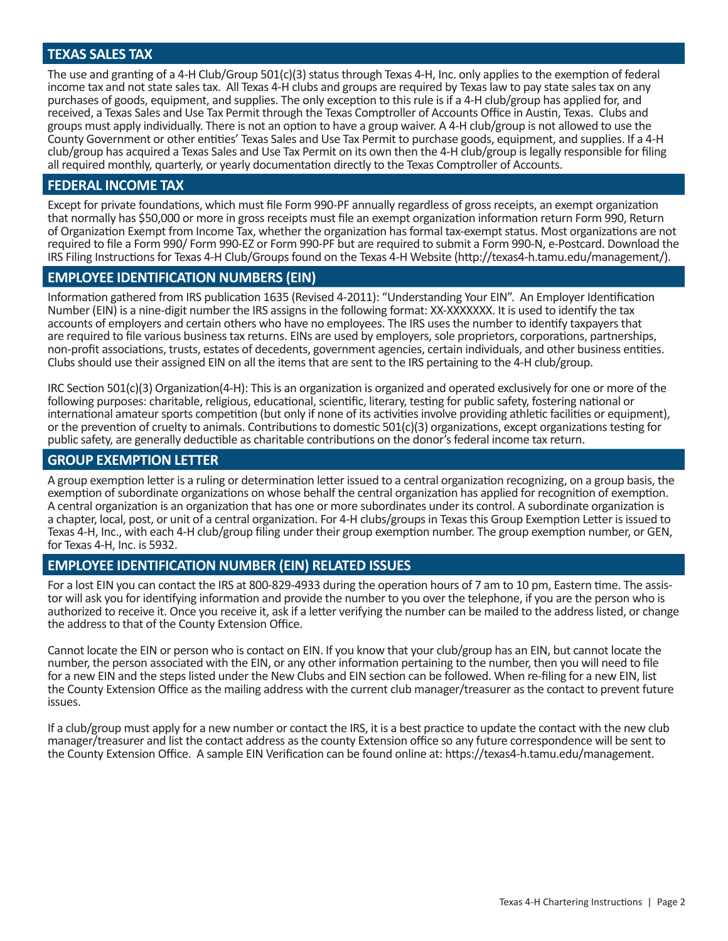### **TEXAS SALES TAX**

The use and granting of a 4-H Club/Group 501(c)(3) status through Texas 4-H, Inc. only applies to the exemption of federal income tax and not state sales tax. All Texas 4-H clubs and groups are required by Texas law to pay state sales tax on any purchases of goods, equipment, and supplies. The only exception to this rule is if a 4-H club/group has applied for, and received, a Texas Sales and Use Tax Permit through the Texas Comptroller of Accounts Office in Austin, Texas. Clubs and groups must apply individually. There is not an option to have a group waiver. A 4-H club/group is not allowed to use the County Government or other entities' Texas Sales and Use Tax Permit to purchase goods, equipment, and supplies. If a 4-H club/group has acquired a Texas Sales and Use Tax Permit on its own then the 4-H club/group is legally responsible for filing all required monthly, quarterly, or yearly documentation directly to the Texas Comptroller of Accounts.

#### **FEDERAL INCOME TAX**

Except for private foundations, which must file Form 990-PF annually regardless of gross receipts, an exempt organization that normally has \$50,000 or more in gross receipts must file an exempt organization information return Form 990, Return of Organization Exempt from Income Tax, whether the organization has formal tax-exempt status. Most organizations are not required to file a Form 990/ Form 990-EZ or Form 990-PF but are required to submit a Form 990-N, e-Postcard. Download the IRS Filing Instructions for Texas 4-H Club/Groups found on the Texas 4-H Website (http://texas4-h.tamu.edu/management/).

#### **EMPLOYEE IDENTIFICATION NUMBERS (EIN)**

Information gathered from IRS publication 1635 (Revised 4-2011): "Understanding Your EIN". An Employer Identification Number (EIN) is a nine-digit number the IRS assigns in the following format: XX-XXXXXXX. It is used to identify the tax accounts of employers and certain others who have no employees. The IRS uses the number to identify taxpayers that are required to file various business tax returns. EINs are used by employers, sole proprietors, corporations, partnerships, non-profit associations, trusts, estates of decedents, government agencies, certain individuals, and other business entities. Clubs should use their assigned EIN on all the items that are sent to the IRS pertaining to the 4-H club/group.

IRC Section 501(c)(3) Organization(4-H): This is an organization is organized and operated exclusively for one or more of the following purposes: charitable, religious, educational, scientific, literary, testing for public safety, fostering national or international amateur sports competition (but only if none of its activities involve providing athletic facilities or equipment), or the prevention of cruelty to animals. Contributions to domestic 501(c)(3) organizations, except organizations testing for public safety, are generally deductible as charitable contributions on the donor's federal income tax return.

#### **GROUP EXEMPTION LETTER**

A group exemption letter is a ruling or determination letter issued to a central organization recognizing, on a group basis, the exemption of subordinate organizations on whose behalf the central organization has applied for recognition of exemption. A central organization is an organization that has one or more subordinates under its control. A subordinate organization is a chapter, local, post, or unit of a central organization. For 4-H clubs/groups in Texas this Group Exemption Letter is issued to Texas 4-H, Inc., with each 4-H club/group filing under their group exemption number. The group exemption number, or GEN, for Texas 4-H, Inc. is 5932.

#### **EMPLOYEE IDENTIFICATION NUMBER (EIN) RELATED ISSUES**

For a lost EIN you can contact the IRS at 800-829-4933 during the operation hours of 7 am to 10 pm, Eastern time. The assis-<br>tor will ask you for identifying information and provide the number to you over the telephone, if authorized to receive it. Once you receive it, ask if a letter verifying the number can be mailed to the address listed, or change the address to that of the County Extension Office.

Cannot locate the EIN or person who is contact on EIN. If you know that your club/group has an EIN, but cannot locate the number, the person associated with the EIN, or any other information pertaining to the number, then you will need to file for a new EIN and the steps listed under the New Clubs and EIN section can be followed. When re-filing for a new EIN, list the County Extension Office as the mailing address with the current club manager/treasurer as the contact to prevent future issues.

If a club/group must apply for a new number or contact the IRS, it is a best practice to update the contact with the new club manager/treasurer and list the contact address as the county Extension office so any future correspondence will be sent to the County Extension Office. A sample EIN Verification can be found online at: https://texas4-h.tamu.edu/management.